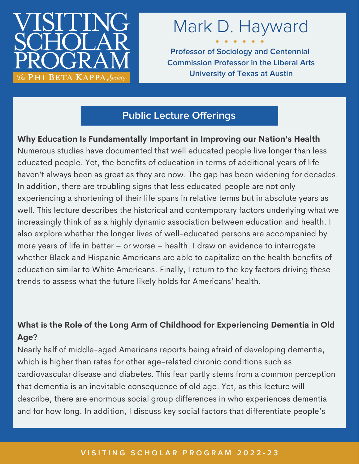

# Mark D. Hayward

**Professor of Sociology and Centennial Commission Professor in the Liberal Arts University of Texas at Austin**

# **Public Lecture Offerings**

**Why Education Is Fundamentally Important in Improving our Nation's Health** Numerous studies have documented that well educated people live longer than less educated people. Yet, the benefits of education in terms of additional years of life haven't always been as great as they are now. The gap has been widening for decades. In addition, there are troubling signs that less educated people are not only experiencing a shortening of their life spans in relative terms but in absolute years as well. This lecture describes the historical and contemporary factors underlying what we increasingly think of as a highly dynamic association between education and health. I also explore whether the longer lives of well-educated persons are accompanied by more years of life in better – or worse – health. I draw on evidence to interrogate whether Black and Hispanic Americans are able to capitalize on the health benefits of education similar to White Americans. Finally, I return to the key factors driving these trends to assess what the future likely holds for Americans' health.

## **What is the Role of the Long Arm of Childhood for Experiencing Dementia in Old Age?**

Nearly half of middle-aged Americans reports being afraid of developing dementia, which is higher than rates for other age-related chronic conditions such as cardiovascular disease and diabetes. This fear partly stems from a common perception that dementia is an inevitable consequence of old age. Yet, as this lecture will describe, there are enormous social group differences in who experiences dementia and for how long. In addition, I discuss key social factors that differentiate people's

#### VISITING SCHOLAR PROGRAM 2022-23